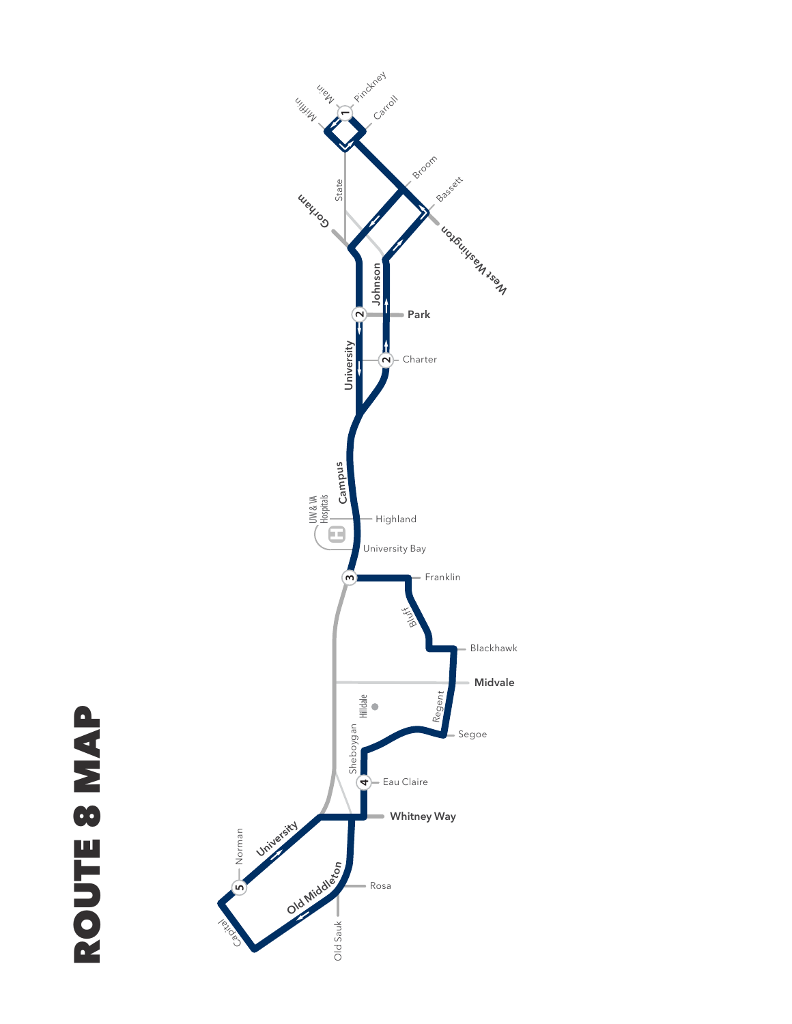

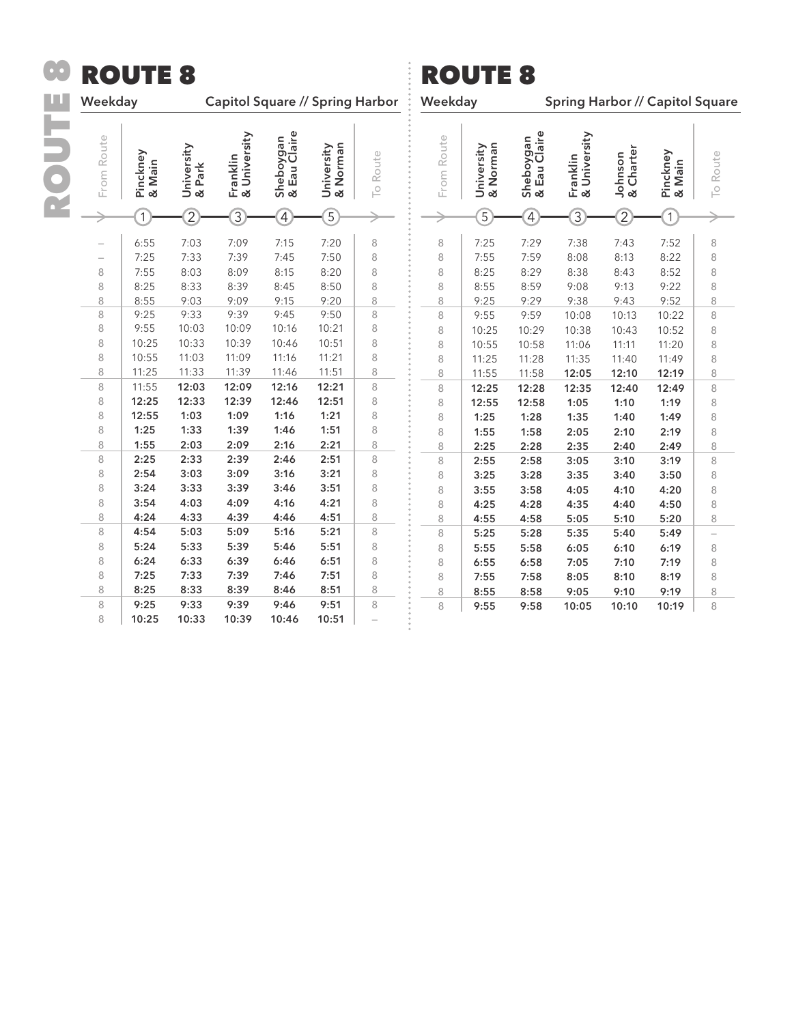| Œ | <b>ROUTE 8</b>                                                               |                                                                                                                                                    |                                                                                                                                                    |                                                                                                                                                    |                                                                                                                                                    |                                                                                                                                                    | <b>ROUTE 8</b>                                                                         |                                                                                        |                                                                                                                                                    |                                                                                                                                                    |                                                                                                                                                    |                                                                                                                                                    |                                                                                                                                                    |                                                                                        |
|---|------------------------------------------------------------------------------|----------------------------------------------------------------------------------------------------------------------------------------------------|----------------------------------------------------------------------------------------------------------------------------------------------------|----------------------------------------------------------------------------------------------------------------------------------------------------|----------------------------------------------------------------------------------------------------------------------------------------------------|----------------------------------------------------------------------------------------------------------------------------------------------------|----------------------------------------------------------------------------------------|----------------------------------------------------------------------------------------|----------------------------------------------------------------------------------------------------------------------------------------------------|----------------------------------------------------------------------------------------------------------------------------------------------------|----------------------------------------------------------------------------------------------------------------------------------------------------|----------------------------------------------------------------------------------------------------------------------------------------------------|----------------------------------------------------------------------------------------------------------------------------------------------------|----------------------------------------------------------------------------------------|
|   | Weekday                                                                      |                                                                                                                                                    | <b>Capitol Square // Spring Harbor</b>                                                                                                             |                                                                                                                                                    |                                                                                                                                                    |                                                                                                                                                    |                                                                                        | Weekday                                                                                |                                                                                                                                                    |                                                                                                                                                    | Spring Harbor // Capitol Square                                                                                                                    |                                                                                                                                                    |                                                                                                                                                    |                                                                                        |
|   | From Route                                                                   | Pinckney<br>& Main                                                                                                                                 | University<br>& Park                                                                                                                               | Franklin<br>& University                                                                                                                           | Sheboygan<br>& Eau Claire                                                                                                                          | & Norman<br>University                                                                                                                             | To Route                                                                               | From Route                                                                             | University<br>& Norman                                                                                                                             | Sheboygan<br>& Eau Claire                                                                                                                          | Franklin<br>& University                                                                                                                           | & Charter<br>Johnson                                                                                                                               | Pinckney<br>& Main                                                                                                                                 | To Route                                                                               |
|   |                                                                              |                                                                                                                                                    | $\overline{2}$                                                                                                                                     | $\overline{3}$                                                                                                                                     | $\overline{4}$                                                                                                                                     | $\overline{5}$                                                                                                                                     |                                                                                        |                                                                                        | $\overline{5}$                                                                                                                                     | $\overline{4}$                                                                                                                                     | $\overline{3}$                                                                                                                                     | $\overline{2}$                                                                                                                                     | 1                                                                                                                                                  |                                                                                        |
|   | 8<br>8<br>8<br>8<br>8<br>8<br>8<br>8<br>8<br>8<br>8<br>8<br>8<br>8<br>8<br>8 | 6:55<br>7:25<br>7:55<br>8:25<br>8:55<br>9:25<br>9:55<br>10:25<br>10:55<br>11:25<br>11:55<br>12:25<br>12:55<br>1:25<br>1:55<br>2:25<br>2:54<br>3:24 | 7:03<br>7:33<br>8:03<br>8:33<br>9:03<br>9:33<br>10:03<br>10:33<br>11:03<br>11:33<br>12:03<br>12:33<br>1:03<br>1:33<br>2:03<br>2:33<br>3:03<br>3:33 | 7:09<br>7:39<br>8:09<br>8:39<br>9:09<br>9:39<br>10:09<br>10:39<br>11:09<br>11:39<br>12:09<br>12:39<br>1:09<br>1:39<br>2:09<br>2:39<br>3:09<br>3:39 | 7:15<br>7:45<br>8:15<br>8:45<br>9:15<br>9:45<br>10:16<br>10:46<br>11:16<br>11:46<br>12:16<br>12:46<br>1:16<br>1:46<br>2:16<br>2:46<br>3:16<br>3:46 | 7:20<br>7:50<br>8:20<br>8:50<br>9:20<br>9:50<br>10:21<br>10:51<br>11:21<br>11:51<br>12:21<br>12:51<br>1:21<br>1:51<br>2:21<br>2:51<br>3:21<br>3:51 | 8<br>8<br>8<br>8<br>8<br>8<br>8<br>8<br>8<br>8<br>8<br>8<br>8<br>8<br>8<br>8<br>8<br>8 | 8<br>8<br>8<br>8<br>8<br>8<br>8<br>8<br>8<br>8<br>8<br>8<br>8<br>8<br>8<br>8<br>8<br>8 | 7:25<br>7:55<br>8:25<br>8:55<br>9:25<br>9:55<br>10:25<br>10:55<br>11:25<br>11:55<br>12:25<br>12:55<br>1:25<br>1:55<br>2:25<br>2:55<br>3:25<br>3:55 | 7:29<br>7:59<br>8:29<br>8:59<br>9:29<br>9:59<br>10:29<br>10:58<br>11:28<br>11:58<br>12:28<br>12:58<br>1:28<br>1:58<br>2:28<br>2:58<br>3:28<br>3:58 | 7:38<br>8:08<br>8:38<br>9:08<br>9:38<br>10:08<br>10:38<br>11:06<br>11:35<br>12:05<br>12:35<br>1:05<br>1:35<br>2:05<br>2:35<br>3:05<br>3:35<br>4:05 | 7:43<br>8:13<br>8:43<br>9:13<br>9:43<br>10:13<br>10:43<br>11:11<br>11:40<br>12:10<br>12:40<br>1:10<br>1:40<br>2:10<br>2:40<br>3:10<br>3:40<br>4:10 | 7:52<br>8:22<br>8:52<br>9:22<br>9:52<br>10:22<br>10:52<br>11:20<br>11:49<br>12:19<br>12:49<br>1:19<br>1:49<br>2:19<br>2:49<br>3:19<br>3:50<br>4:20 | 8<br>8<br>8<br>8<br>8<br>8<br>8<br>8<br>8<br>8<br>8<br>8<br>8<br>8<br>8<br>8<br>8<br>8 |
|   | 8                                                                            | 3:54                                                                                                                                               | 4:03                                                                                                                                               | 4:09                                                                                                                                               | 4:16                                                                                                                                               | 4:21                                                                                                                                               | 8                                                                                      | 8                                                                                      | 4:25                                                                                                                                               | 4:28                                                                                                                                               | 4:35                                                                                                                                               | 4:40                                                                                                                                               | 4:50                                                                                                                                               | 8                                                                                      |
|   | 8                                                                            | 4:24                                                                                                                                               | 4:33                                                                                                                                               | 4:39                                                                                                                                               | 4:46                                                                                                                                               | 4:51                                                                                                                                               | 8                                                                                      | 8                                                                                      | 4:55                                                                                                                                               | 4:58                                                                                                                                               | 5:05                                                                                                                                               | 5:10                                                                                                                                               | 5:20                                                                                                                                               | 8                                                                                      |
|   | 8<br>8                                                                       | 4:54<br>5:24                                                                                                                                       | 5:03<br>5:33                                                                                                                                       | 5:09<br>5:39                                                                                                                                       | 5:16<br>5:46                                                                                                                                       | 5:21<br>5:51                                                                                                                                       | 8<br>8                                                                                 | 8<br>8                                                                                 | 5:25<br>5:55                                                                                                                                       | 5:28<br>5:58                                                                                                                                       | 5:35<br>6:05                                                                                                                                       | 5:40<br>6:10                                                                                                                                       | 5:49<br>6:19                                                                                                                                       | $\overline{a}$<br>8                                                                    |
|   | 8<br>8<br>8                                                                  | 6:24<br>7:25<br>8:25                                                                                                                               | 6:33<br>7:33<br>8:33                                                                                                                               | 6:39<br>7:39<br>8:39                                                                                                                               | 6:46<br>7:46<br>8:46                                                                                                                               | 6:51<br>7:51<br>8:51                                                                                                                               | 8<br>8<br>8                                                                            | 8<br>8                                                                                 | 6:55<br>7:55                                                                                                                                       | 6:58<br>7:58                                                                                                                                       | 7:05<br>8:05                                                                                                                                       | 7:10<br>8:10                                                                                                                                       | 7:19<br>8:19                                                                                                                                       | 8<br>8                                                                                 |
|   | 8<br>8                                                                       | 9:25<br>10:25                                                                                                                                      | 9:33<br>10:33                                                                                                                                      | 9:39<br>10:39                                                                                                                                      | 9:46<br>10:46                                                                                                                                      | 9:51<br>10:51                                                                                                                                      | 8                                                                                      | 8<br>8                                                                                 | 8:55<br>9:55                                                                                                                                       | 8:58<br>9:58                                                                                                                                       | 9:05<br>10:05                                                                                                                                      | 9:10<br>10:10                                                                                                                                      | 9:19<br>10:19                                                                                                                                      | 8<br>8                                                                                 |